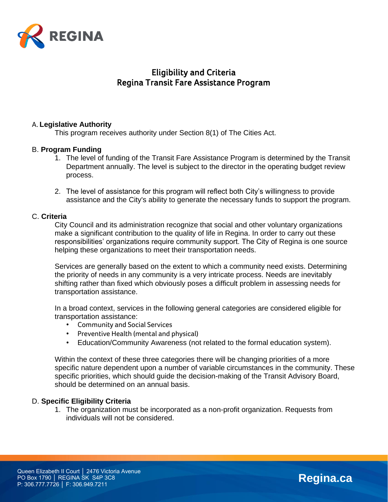

# **Eligibility and Criteria Regina Transit Fare Assistance Program**

## **A. Legislative Authority**

This program receives authority under Section 8(1) of The Cities Act.

### B. **Program Funding**

- 1. The level of funding of the Transit Fare Assistance Program is determined by the Transit Department annually. The level is subject to the director in the operating budget review process.
- 2. The level of assistance for this program will reflect both City's willingness to provide assistance and the City's ability to generate the necessary funds to support the program.

### C. **Criteria**

City Council and its administration recognize that social and other voluntary organizations make a significant contribution to the quality of life in Regina. In order to carry out these responsibilities' organizations require community support. The City of Regina is one source helping these organizations to meet their transportation needs.

Services are generally based on the extent to which a community need exists. Determining the priority of needs in any community is a very intricate process. Needs are inevitably shifting rather than fixed which obviously poses a difficult problem in assessing needs for transportation assistance.

In a broad context, services in the following general categories are considered eligible for transportation assistance:

- **• Community and Social Services**
- **• Preventive Health (mental and physical)**
- **•** Education/Community Awareness (not related to the formal education system).

Within the context of these three categories there will be changing priorities of a more specific nature dependent upon a number of variable circumstances in the community. These specific priorities, which should guide the decision-making of the Transit Advisory Board, should be determined on an annual basis.

### D. **Specific Eligibility Criteria**

1. The organization must be incorporated as a non-profit organization. Requests from individuals will not be considered.

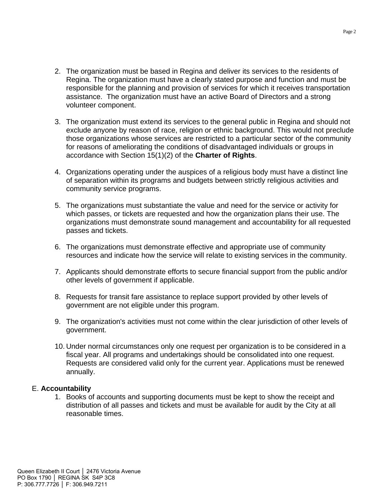- 2. The organization must be based in Regina and deliver its services to the residents of Regina. The organization must have a clearly stated purpose and function and must be responsible for the planning and provision of services for which it receives transportation assistance. The organization must have an active Board of Directors and a strong volunteer component.
- 3. The organization must extend its services to the general public in Regina and should not exclude anyone by reason of race, religion or ethnic background. This would not preclude those organizations whose services are restricted to a particular sector of the community for reasons of ameliorating the conditions of disadvantaged individuals or groups in accordance with Section 15(1)(2) of the **Charter of Rights**.
- 4. Organizations operating under the auspices of a religious body must have a distinct line of separation within its programs and budgets between strictly religious activities and community service programs.
- 5. The organizations must substantiate the value and need for the service or activity for which passes, or tickets are requested and how the organization plans their use. The organizations must demonstrate sound management and accountability for all requested passes and tickets.
- 6. The organizations must demonstrate effective and appropriate use of community resources and indicate how the service will relate to existing services in the community.
- 7. Applicants should demonstrate efforts to secure financial support from the public and/or other levels of government if applicable.
- 8. Requests for transit fare assistance to replace support provided by other levels of government are not eligible under this program.
- 9. The organization's activities must not come within the clear jurisdiction of other levels of government.
- 10. Under normal circumstances only one request per organization is to be considered in a fiscal year. All programs and undertakings should be consolidated into one request. Requests are considered valid only for the current year. Applications must be renewed annually.

### E. **Accountability**

1. Books of accounts and supporting documents must be kept to show the receipt and distribution of all passes and tickets and must be available for audit by the City at all reasonable times.